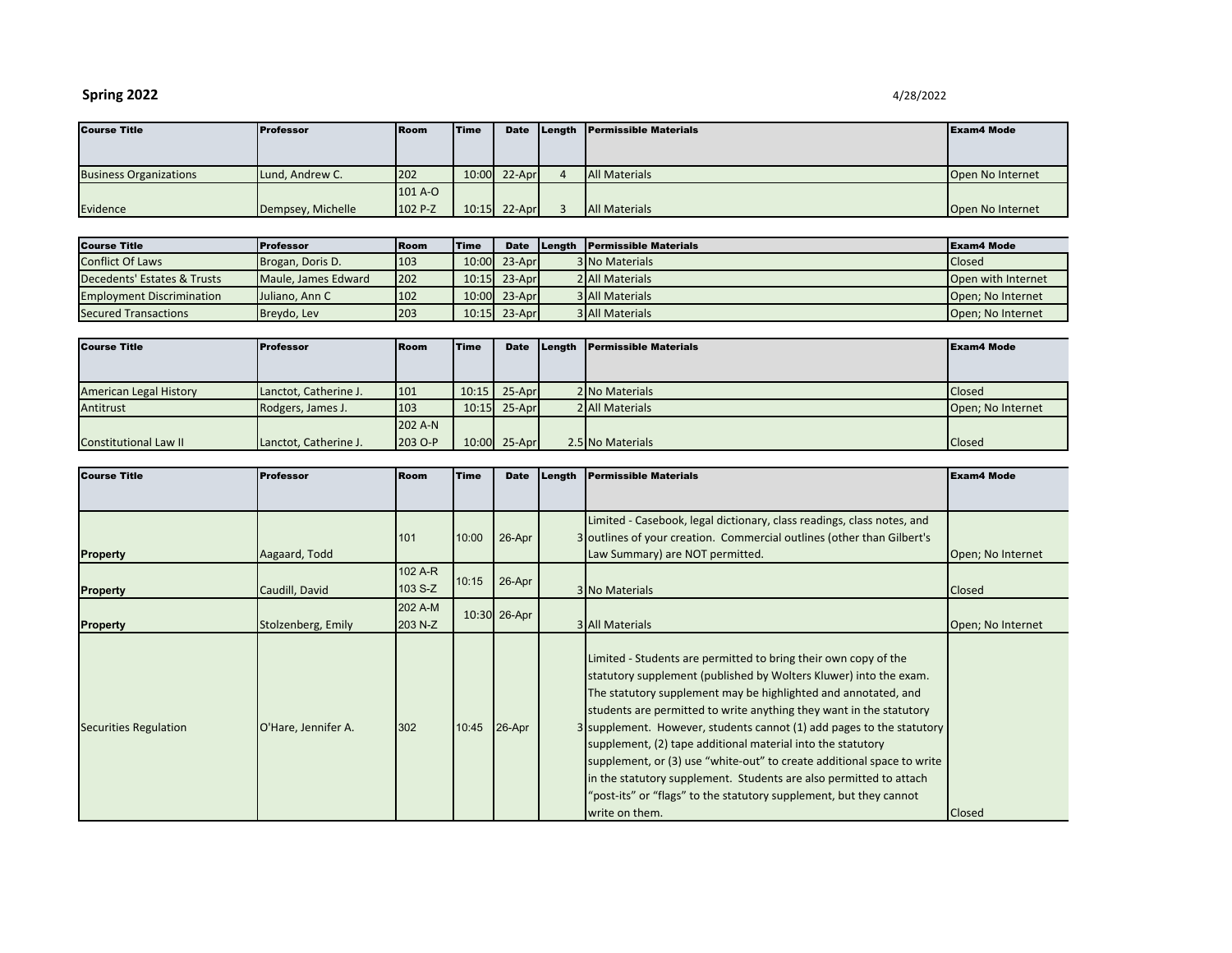## **Spring 2022** 4/28/2022

| <b>Course Title</b>           | <b>Professor</b>  | <b>IRoom</b> | <b>Time</b> | <b>Date</b>    | Length Permissible Materials | <b>Exam4 Mode</b> |
|-------------------------------|-------------------|--------------|-------------|----------------|------------------------------|-------------------|
|                               |                   |              |             |                |                              |                   |
|                               |                   |              |             |                |                              |                   |
| <b>Business Organizations</b> | Lund, Andrew C.   | 202          |             | 10:00 22-Apr   | <b>All Materials</b>         | Open No Internet  |
|                               |                   | 101 A-O      |             |                |                              |                   |
| Evidence                      | Dempsey, Michelle | 102 P-Z      |             | $10:15$ 22-Apr | <b>All Materials</b>         | Open No Internet  |

| <b>Course Title</b>              | <b>Professor</b>    | <b>Room</b> | <b>Time</b> |                  | Date Length Permissible Materials | <b>IExam4 Mode</b> |
|----------------------------------|---------------------|-------------|-------------|------------------|-----------------------------------|--------------------|
| <b>Conflict Of Laws</b>          | Brogan, Doris D.    | 103         |             | $10:00$ 23-April | <b>3 No Materials</b>             | <b>Closed</b>      |
| Decedents' Estates & Trusts      | Maule, James Edward | <b>202</b>  |             | $10:15$ 23-April | 2 All Materials                   | Open with Internet |
| <b>Employment Discrimination</b> | Juliano, Ann C      | 102         |             | 10:00 23-April   | <b>3 All Materials</b>            | Open: No Internet  |
| <b>Secured Transactions</b>      | Breydo, Lev         | 203         |             | $10:15$ 23-Apr   | <b>3 All Materials</b>            | Open: No Internet  |

| <b>Course Title</b>           | <b>Professor</b>      | <b>Room</b> | <b>Time</b> | <b>Date</b>    | Length Permissible Materials | <b>Exam4 Mode</b> |
|-------------------------------|-----------------------|-------------|-------------|----------------|------------------------------|-------------------|
|                               |                       |             |             |                |                              |                   |
|                               |                       |             |             |                |                              |                   |
| <b>American Legal History</b> | Lanctot, Catherine J. | 101         |             | $10:15$ 25-Apr | 2 No Materials               | <b>Closed</b>     |
| Antitrust                     | Rodgers, James J.     | 103         |             | $10:15$ 25-Apr | 2 All Materials              | Open; No Internet |
|                               |                       | 202 A-N     |             |                |                              |                   |
| <b>Constitutional Law II</b>  | Lanctot, Catherine J. | 203 O-P     |             | 10:00 25-Apr   | 2.5 No Materials             | <b>Closed</b>     |

| <b>Course Title</b>          | <b>Professor</b>    | <b>Room</b>        | <b>Time</b> | <b>Date</b>  | Length | <b>Permissible Materials</b>                                                                                                                                                                                                                                                                                                                                                                                                                                                                                                                                                                                                                                  | <b>Exam4 Mode</b> |
|------------------------------|---------------------|--------------------|-------------|--------------|--------|---------------------------------------------------------------------------------------------------------------------------------------------------------------------------------------------------------------------------------------------------------------------------------------------------------------------------------------------------------------------------------------------------------------------------------------------------------------------------------------------------------------------------------------------------------------------------------------------------------------------------------------------------------------|-------------------|
|                              |                     |                    |             |              |        |                                                                                                                                                                                                                                                                                                                                                                                                                                                                                                                                                                                                                                                               |                   |
| <b>Property</b>              | Aagaard, Todd       | 101                | 10:00       | 26-Apr       |        | Limited - Casebook, legal dictionary, class readings, class notes, and<br>3 outlines of your creation. Commercial outlines (other than Gilbert's<br>Law Summary) are NOT permitted.                                                                                                                                                                                                                                                                                                                                                                                                                                                                           | Open; No Internet |
| <b>Property</b>              | Caudill, David      | 102 A-R<br>103 S-Z | 10:15       | 26-Apr       |        | 3 No Materials                                                                                                                                                                                                                                                                                                                                                                                                                                                                                                                                                                                                                                                | Closed            |
| <b>Property</b>              | Stolzenberg, Emily  | 202 A-M<br>203 N-Z |             | 10:30 26-Apr |        | <b>3 All Materials</b>                                                                                                                                                                                                                                                                                                                                                                                                                                                                                                                                                                                                                                        | Open; No Internet |
| <b>Securities Regulation</b> | O'Hare, Jennifer A. | 302                | 10:45       | 26-Apr       |        | Limited - Students are permitted to bring their own copy of the<br>statutory supplement (published by Wolters Kluwer) into the exam.<br>The statutory supplement may be highlighted and annotated, and<br>students are permitted to write anything they want in the statutory<br>3 supplement. However, students cannot (1) add pages to the statutory<br>supplement, (2) tape additional material into the statutory<br>supplement, or (3) use "white-out" to create additional space to write<br>in the statutory supplement. Students are also permitted to attach<br>"post-its" or "flags" to the statutory supplement, but they cannot<br>write on them. | Closed            |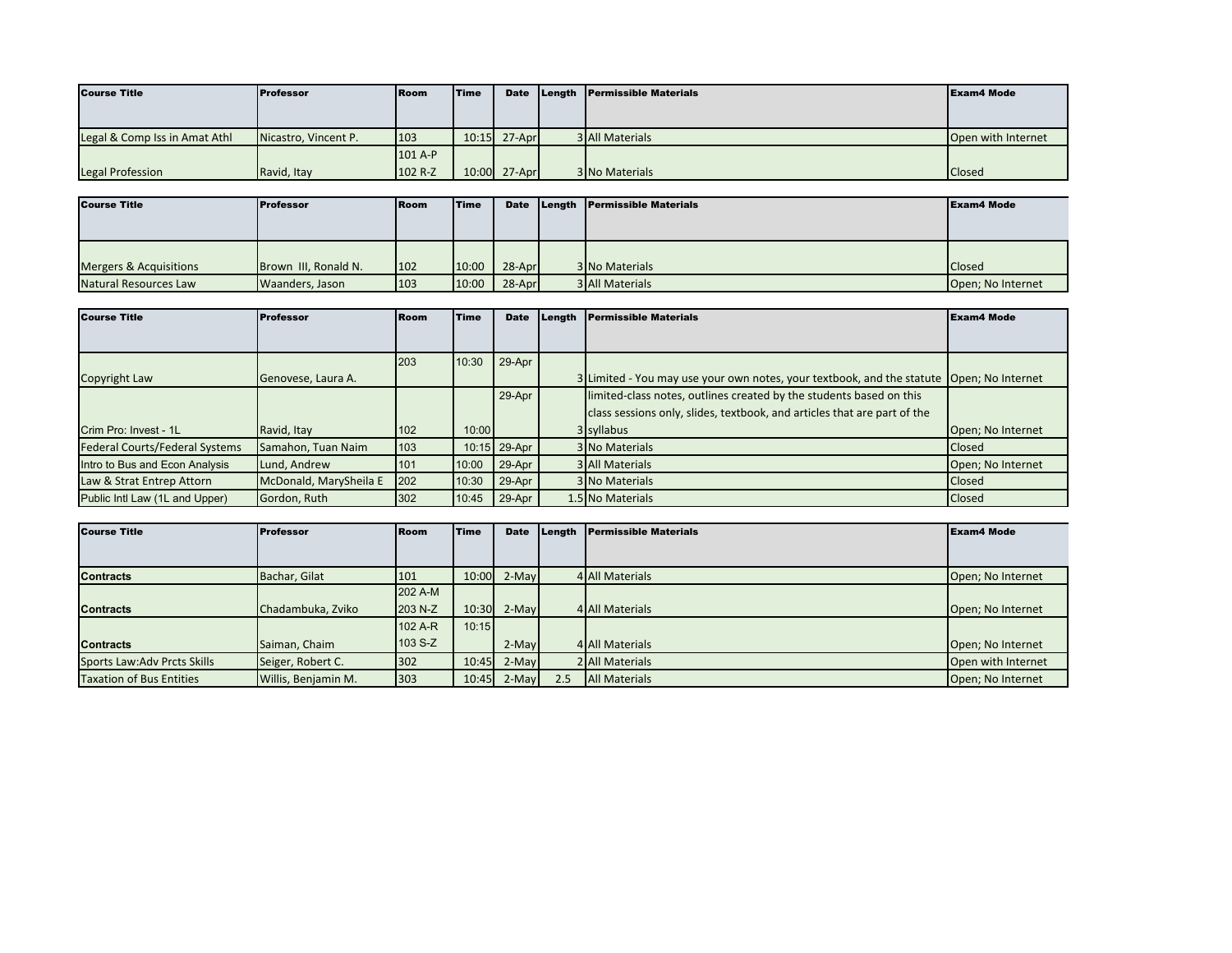| <b>Course Title</b>           | <b>Professor</b>     | <b>Room</b> | <b>Time</b> | <b>Date</b>  | Length Permissible Materials | <b>Exam4 Mode</b>  |
|-------------------------------|----------------------|-------------|-------------|--------------|------------------------------|--------------------|
|                               |                      |             |             |              |                              |                    |
| Legal & Comp Iss in Amat Athl | Nicastro, Vincent P. | 103         |             | 10:15 27-Apr | <b>3 All Materials</b>       | Open with Internet |
|                               |                      | 101 A-P     |             |              |                              |                    |
| <b>Legal Profession</b>       | Ravid, Itay          | 102 R-Z     |             | 10:00 27-Apr | <b>3 No Materials</b>        | <b>Closed</b>      |

| <b>Course Title</b>               | <b>Professor</b>     | <b>Room</b> | Time  | Date   | Length Permissible Materials | <b>Exam4 Mode</b> |
|-----------------------------------|----------------------|-------------|-------|--------|------------------------------|-------------------|
|                                   |                      |             |       |        |                              |                   |
|                                   |                      |             |       |        |                              |                   |
|                                   |                      |             |       |        |                              |                   |
| <b>Mergers &amp; Acquisitions</b> | Brown III, Ronald N. | 102         | 10:00 | 28-Apr | 3 No Materials               | <b>Closed</b>     |
| Natural Resources Law             | Waanders, Jason      | 103         | 10:00 | 28-Apr | <b>3 All Materials</b>       | Open; No Internet |

| <b>Course Title</b>                   | Professor              | Room | <b>Time</b> | <b>Date</b>  | Length | <b>Permissible Materials</b>                                                             | <b>Exam4 Mode</b> |
|---------------------------------------|------------------------|------|-------------|--------------|--------|------------------------------------------------------------------------------------------|-------------------|
|                                       |                        |      |             |              |        |                                                                                          |                   |
|                                       |                        | 203  | 10:30       | 29-Apr       |        |                                                                                          |                   |
| Copyright Law                         | Genovese, Laura A.     |      |             |              |        | 3 Limited - You may use your own notes, your textbook, and the statute Open; No Internet |                   |
|                                       |                        |      |             | 29-Apr       |        | limited-class notes, outlines created by the students based on this                      |                   |
|                                       |                        |      |             |              |        | class sessions only, slides, textbook, and articles that are part of the                 |                   |
| Crim Pro: Invest - 1L                 | Ravid, Itay            | 102  | 10:00       |              |        | 3 syllabus                                                                               | Open; No Internet |
| <b>Federal Courts/Federal Systems</b> | Samahon, Tuan Naim     | 103  |             | 10:15 29-Apr |        | <b>3 No Materials</b>                                                                    | Closed            |
| Intro to Bus and Econ Analysis        | Lund, Andrew           | 101  | 10:00       | 29-Apr       |        | <b>3 All Materials</b>                                                                   | Open; No Internet |
| Law & Strat Entrep Attorn             | McDonald, MarySheila E | 202  | 10:30       | 29-Apr       |        | 3 No Materials                                                                           | Closed            |
| Public Intl Law (1L and Upper)        | Gordon, Ruth           | 302  | 10:45       | 29-Apr       |        | 1.5 No Materials                                                                         | Closed            |

| <b>Course Title</b>             | <b>Professor</b>    | <b>Room</b> | Time  | <b>Date</b> | Length | <b>Permissible Materials</b> | <b>Exam4 Mode</b>  |
|---------------------------------|---------------------|-------------|-------|-------------|--------|------------------------------|--------------------|
|                                 |                     |             |       |             |        |                              |                    |
| <b>Contracts</b>                | Bachar, Gilat       | 101         | 10:00 | $2-Mav$     |        | 4 All Materials              | Open; No Internet  |
|                                 |                     | 202 A-M     |       |             |        |                              |                    |
| <b>Contracts</b>                | Chadambuka, Zviko   | 203 N-Z     | 10:30 | $2-May$     |        | 4 All Materials              | Open; No Internet  |
|                                 |                     | 102 A-R     | 10:15 |             |        |                              |                    |
| <b>Contracts</b>                | Saiman, Chaim       | 103 S-Z     |       | $2-May$     |        | 4 All Materials              | Open; No Internet  |
| Sports Law: Adv Prcts Skills    | Seiger, Robert C.   | 302         | 10:45 | $2-Mav$     |        | 2 All Materials              | Open with Internet |
| <b>Taxation of Bus Entities</b> | Willis, Benjamin M. | 303         | 10:45 | $2-Mav$     | 2.5    | <b>All Materials</b>         | Open; No Internet  |